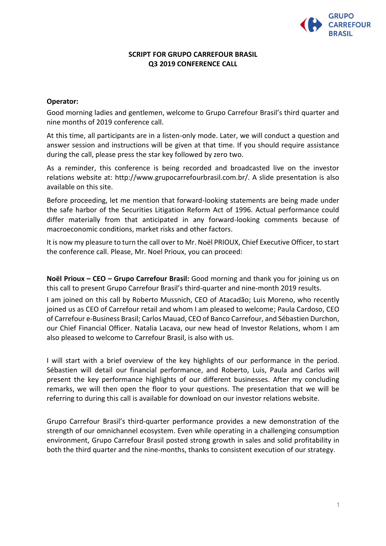

## **SCRIPT FOR GRUPO CARREFOUR BRASIL Q3 2019 CONFERENCE CALL**

### **Operator:**

Good morning ladies and gentlemen, welcome to Grupo Carrefour Brasil's third quarter and nine months of 2019 conference call.

At this time, all participants are in a listen-only mode. Later, we will conduct a question and answer session and instructions will be given at that time. If you should require assistance during the call, please press the star key followed by zero two.

As a reminder, this conference is being recorded and broadcasted live on the investor relations website at: http://www.grupocarrefourbrasil.com.br/. A slide presentation is also available on this site.

Before proceeding, let me mention that forward-looking statements are being made under the safe harbor of the Securities Litigation Reform Act of 1996. Actual performance could differ materially from that anticipated in any forward-looking comments because of macroeconomic conditions, market risks and other factors.

It is now my pleasure to turn the call over to Mr. Noël PRIOUX, Chief Executive Officer, to start the conference call. Please, Mr. Noel Prioux, you can proceed:

**Noël Prioux – CEO – Grupo Carrefour Brasil:** Good morning and thank you for joining us on this call to present Grupo Carrefour Brasil's third-quarter and nine-month 2019 results.

I am joined on this call by Roberto Mussnich, CEO of Atacadão; Luis Moreno, who recently joined us as CEO of Carrefour retail and whom I am pleased to welcome; Paula Cardoso, CEO of Carrefour e-Business Brasil; Carlos Mauad, CEO of Banco Carrefour, and Sébastien Durchon, our Chief Financial Officer. Natalia Lacava, our new head of Investor Relations, whom I am also pleased to welcome to Carrefour Brasil, is also with us.

I will start with a brief overview of the key highlights of our performance in the period. Sébastien will detail our financial performance, and Roberto, Luis, Paula and Carlos will present the key performance highlights of our different businesses. After my concluding remarks, we will then open the floor to your questions. The presentation that we will be referring to during this call is available for download on our investor relations website.

Grupo Carrefour Brasil's third-quarter performance provides a new demonstration of the strength of our omnichannel ecosystem. Even while operating in a challenging consumption environment, Grupo Carrefour Brasil posted strong growth in sales and solid profitability in both the third quarter and the nine-months, thanks to consistent execution of our strategy.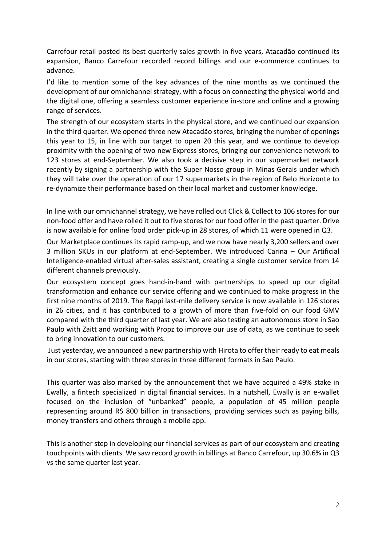Carrefour retail posted its best quarterly sales growth in five years, Atacadão continued its expansion, Banco Carrefour recorded record billings and our e-commerce continues to advance.

I'd like to mention some of the key advances of the nine months as we continued the development of our omnichannel strategy, with a focus on connecting the physical world and the digital one, offering a seamless customer experience in-store and online and a growing range of services.

The strength of our ecosystem starts in the physical store, and we continued our expansion in the third quarter. We opened three new Atacadão stores, bringing the number of openings this year to 15, in line with our target to open 20 this year, and we continue to develop proximity with the opening of two new Express stores, bringing our convenience network to 123 stores at end-September. We also took a decisive step in our supermarket network recently by signing a partnership with the Super Nosso group in Minas Gerais under which they will take over the operation of our 17 supermarkets in the region of Belo Horizonte to re-dynamize their performance based on their local market and customer knowledge.

In line with our omnichannel strategy, we have rolled out Click & Collect to 106 stores for our non-food offer and have rolled it out to five stores for our food offer in the past quarter. Drive is now available for online food order pick-up in 28 stores, of which 11 were opened in Q3.

Our Marketplace continues its rapid ramp-up, and we now have nearly 3,200 sellers and over 3 million SKUs in our platform at end-September. We introduced Carina – Our Artificial Intelligence-enabled virtual after-sales assistant, creating a single customer service from 14 different channels previously.

Our ecosystem concept goes hand-in-hand with partnerships to speed up our digital transformation and enhance our service offering and we continued to make progress in the first nine months of 2019. The Rappi last-mile delivery service is now available in 126 stores in 26 cities, and it has contributed to a growth of more than five-fold on our food GMV compared with the third quarter of last year. We are also testing an autonomous store in Sao Paulo with Zaitt and working with Propz to improve our use of data, as we continue to seek to bring innovation to our customers.

Just yesterday, we announced a new partnership with Hirota to offer their ready to eat meals in our stores, starting with three stores in three different formats in Sao Paulo.

This quarter was also marked by the announcement that we have acquired a 49% stake in Ewally, a fintech specialized in digital financial services. In a nutshell, Ewally is an e-wallet focused on the inclusion of "unbanked" people, a population of 45 million people representing around R\$ 800 billion in transactions, providing services such as paying bills, money transfers and others through a mobile app.

This is another step in developing our financial services as part of our ecosystem and creating touchpoints with clients. We saw record growth in billings at Banco Carrefour, up 30.6% in Q3 vs the same quarter last year.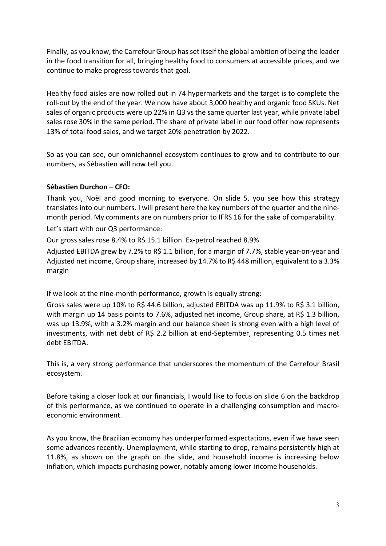Finally, as you know, the Carrefour Group has set itself the global ambition of being the leader in the food transition for all, bringing healthy food to consumers at accessible prices, and we continue to make progress towards that goal.

Healthy food aisles are now rolled out in 74 hypermarkets and the target is to complete the roll-out by the end of the year. We now have about 3,000 healthy and organic food SKUs. Net sales of organic products were up 22% in Q3 vs the same quarter last year, while private label sales rose 30% in the same period. The share of private label in our food offer now represents 13% of total food sales, and we target 20% penetration by 2022.

So as you can see, our omnichannel ecosystem continues to grow and to contribute to our numbers, as Sébastien will now tell you.

# **Sébastien Durchon – CFO:**

Thank you, Noël and good morning to everyone. On slide 5, you see how this strategy translates into our numbers. I will present here the key numbers of the quarter and the ninemonth period. My comments are on numbers prior to IFRS 16 for the sake of comparability.

Let's start with our Q3 performance:

Our gross sales rose 8.4% to R\$ 15.1 billion. Ex-petrol reached 8.9%

Adjusted EBITDA grew by 7.2% to R\$ 1.1 billion, for a margin of 7.7%, stable year-on-year and Adjusted net income, Group share, increased by 14.7% to R\$ 448 million, equivalent to a 3.3% margin

If we look at the nine-month performance, growth is equally strong:

Gross sales were up 10% to R\$ 44.6 billion, adjusted EBITDA was up 11.9% to R\$ 3.1 billion, with margin up 14 basis points to 7.6%, adjusted net income, Group share, at R\$ 1.3 billion, was up 13.9%, with a 3.2% margin and our balance sheet is strong even with a high level of investments, with net debt of R\$ 2.2 billion at end-September, representing 0.5 times net debt EBITDA.

This is, a very strong performance that underscores the momentum of the Carrefour Brasil ecosystem.

Before taking a closer look at our financials, I would like to focus on slide 6 on the backdrop of this performance, as we continued to operate in a challenging consumption and macroeconomic environment.

As you know, the Brazilian economy has underperformed expectations, even if we have seen some advances recently. Unemployment, while starting to drop, remains persistently high at 11.8%, as shown on the graph on the slide, and household income is increasing below inflation, which impacts purchasing power, notably among lower-income households.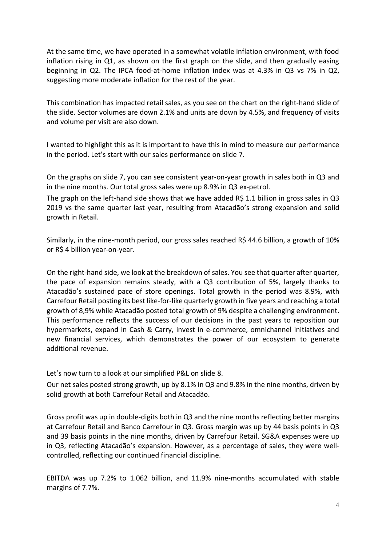At the same time, we have operated in a somewhat volatile inflation environment, with food inflation rising in Q1, as shown on the first graph on the slide, and then gradually easing beginning in Q2. The IPCA food-at-home inflation index was at 4.3% in Q3 vs 7% in Q2, suggesting more moderate inflation for the rest of the year.

This combination has impacted retail sales, as you see on the chart on the right-hand slide of the slide. Sector volumes are down 2.1% and units are down by 4.5%, and frequency of visits and volume per visit are also down.

I wanted to highlight this as it is important to have this in mind to measure our performance in the period. Let's start with our sales performance on slide 7.

On the graphs on slide 7, you can see consistent year-on-year growth in sales both in Q3 and in the nine months. Our total gross sales were up 8.9% in Q3 ex-petrol.

The graph on the left-hand side shows that we have added R\$ 1.1 billion in gross sales in Q3 2019 vs the same quarter last year, resulting from Atacadão's strong expansion and solid growth in Retail.

Similarly, in the nine-month period, our gross sales reached R\$ 44.6 billion, a growth of 10% or R\$ 4 billion year-on-year.

On the right-hand side, we look at the breakdown of sales. You see that quarter after quarter, the pace of expansion remains steady, with a Q3 contribution of 5%, largely thanks to Atacadão's sustained pace of store openings. Total growth in the period was 8.9%, with Carrefour Retail posting its best like-for-like quarterly growth in five years and reaching a total growth of 8,9% while Atacadão posted total growth of 9% despite a challenging environment. This performance reflects the success of our decisions in the past years to reposition our hypermarkets, expand in Cash & Carry, invest in e-commerce, omnichannel initiatives and new financial services, which demonstrates the power of our ecosystem to generate additional revenue.

Let's now turn to a look at our simplified P&L on slide 8.

Our net sales posted strong growth, up by 8.1% in Q3 and 9.8% in the nine months, driven by solid growth at both Carrefour Retail and Atacadão.

Gross profit was up in double-digits both in Q3 and the nine months reflecting better margins at Carrefour Retail and Banco Carrefour in Q3. Gross margin was up by 44 basis points in Q3 and 39 basis points in the nine months, driven by Carrefour Retail. SG&A expenses were up in Q3, reflecting Atacadão's expansion. However, as a percentage of sales, they were wellcontrolled, reflecting our continued financial discipline.

EBITDA was up 7.2% to 1.062 billion, and 11.9% nine-months accumulated with stable margins of 7.7%.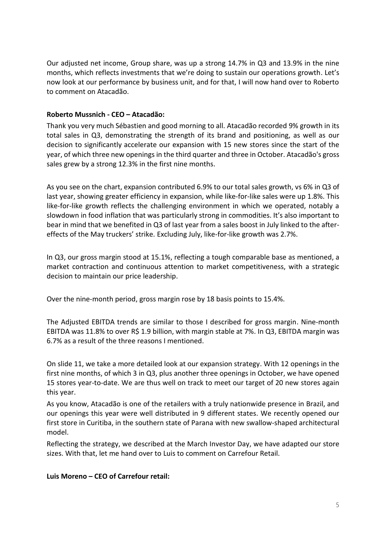Our adjusted net income, Group share, was up a strong 14.7% in Q3 and 13.9% in the nine months, which reflects investments that we're doing to sustain our operations growth. Let's now look at our performance by business unit, and for that, I will now hand over to Roberto to comment on Atacadão.

## **Roberto Mussnich - CEO – Atacadão:**

Thank you very much Sébastien and good morning to all. Atacadão recorded 9% growth in its total sales in Q3, demonstrating the strength of its brand and positioning, as well as our decision to significantly accelerate our expansion with 15 new stores since the start of the year, of which three new openings in the third quarter and three in October. Atacadão's gross sales grew by a strong 12.3% in the first nine months.

As you see on the chart, expansion contributed 6.9% to our total sales growth, vs 6% in Q3 of last year, showing greater efficiency in expansion, while like-for-like sales were up 1.8%. This like-for-like growth reflects the challenging environment in which we operated, notably a slowdown in food inflation that was particularly strong in commodities. It's also important to bear in mind that we benefited in Q3 of last year from a sales boost in July linked to the aftereffects of the May truckers' strike. Excluding July, like-for-like growth was 2.7%.

In Q3, our gross margin stood at 15.1%, reflecting a tough comparable base as mentioned, a market contraction and continuous attention to market competitiveness, with a strategic decision to maintain our price leadership.

Over the nine-month period, gross margin rose by 18 basis points to 15.4%.

The Adjusted EBITDA trends are similar to those I described for gross margin. Nine-month EBITDA was 11.8% to over R\$ 1.9 billion, with margin stable at 7%. In Q3, EBITDA margin was 6.7% as a result of the three reasons I mentioned.

On slide 11, we take a more detailed look at our expansion strategy. With 12 openings in the first nine months, of which 3 in Q3, plus another three openings in October, we have opened 15 stores year-to-date. We are thus well on track to meet our target of 20 new stores again this year.

As you know, Atacadão is one of the retailers with a truly nationwide presence in Brazil, and our openings this year were well distributed in 9 different states. We recently opened our first store in Curitiba, in the southern state of Parana with new swallow-shaped architectural model.

Reflecting the strategy, we described at the March Investor Day, we have adapted our store sizes. With that, let me hand over to Luis to comment on Carrefour Retail.

### **Luis Moreno – CEO of Carrefour retail:**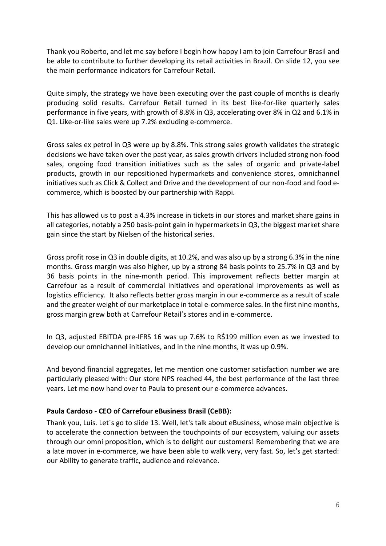Thank you Roberto, and let me say before I begin how happy I am to join Carrefour Brasil and be able to contribute to further developing its retail activities in Brazil. On slide 12, you see the main performance indicators for Carrefour Retail.

Quite simply, the strategy we have been executing over the past couple of months is clearly producing solid results. Carrefour Retail turned in its best like-for-like quarterly sales performance in five years, with growth of 8.8% in Q3, accelerating over 8% in Q2 and 6.1% in Q1. Like-or-like sales were up 7.2% excluding e-commerce.

Gross sales ex petrol in Q3 were up by 8.8%. This strong sales growth validates the strategic decisions we have taken over the past year, as sales growth drivers included strong non-food sales, ongoing food transition initiatives such as the sales of organic and private-label products, growth in our repositioned hypermarkets and convenience stores, omnichannel initiatives such as Click & Collect and Drive and the development of our non-food and food ecommerce, which is boosted by our partnership with Rappi.

This has allowed us to post a 4.3% increase in tickets in our stores and market share gains in all categories, notably a 250 basis-point gain in hypermarkets in Q3, the biggest market share gain since the start by Nielsen of the historical series.

Gross profit rose in Q3 in double digits, at 10.2%, and was also up by a strong 6.3% in the nine months. Gross margin was also higher, up by a strong 84 basis points to 25.7% in Q3 and by 36 basis points in the nine-month period. This improvement reflects better margin at Carrefour as a result of commercial initiatives and operational improvements as well as logistics efficiency. It also reflects better gross margin in our e-commerce as a result of scale and the greater weight of our marketplace in total e-commerce sales. In the first nine months, gross margin grew both at Carrefour Retail's stores and in e-commerce.

In Q3, adjusted EBITDA pre-IFRS 16 was up 7.6% to R\$199 million even as we invested to develop our omnichannel initiatives, and in the nine months, it was up 0.9%.

And beyond financial aggregates, let me mention one customer satisfaction number we are particularly pleased with: Our store NPS reached 44, the best performance of the last three years. Let me now hand over to Paula to present our e-commerce advances.

# **Paula Cardoso - CEO of Carrefour eBusiness Brasil (CeBB):**

Thank you, Luis. Let´s go to slide 13. Well, let's talk about eBusiness, whose main objective is to accelerate the connection between the touchpoints of our ecosystem, valuing our assets through our omni proposition, which is to delight our customers! Remembering that we are a late mover in e-commerce, we have been able to walk very, very fast. So, let's get started: our Ability to generate traffic, audience and relevance.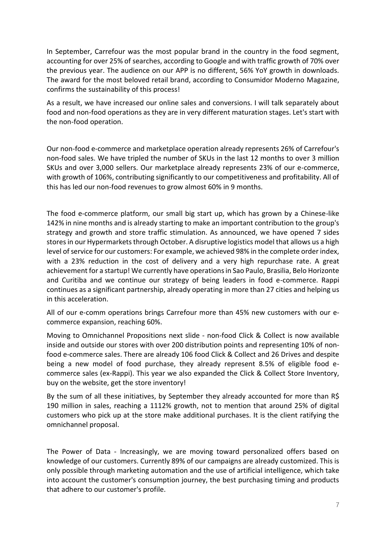In September, Carrefour was the most popular brand in the country in the food segment, accounting for over 25% of searches, according to Google and with traffic growth of 70% over the previous year. The audience on our APP is no different, 56% YoY growth in downloads. The award for the most beloved retail brand, according to Consumidor Moderno Magazine, confirms the sustainability of this process!

As a result, we have increased our online sales and conversions. I will talk separately about food and non-food operations as they are in very different maturation stages. Let's start with the non-food operation.

Our non-food e-commerce and marketplace operation already represents 26% of Carrefour's non-food sales. We have tripled the number of SKUs in the last 12 months to over 3 million SKUs and over 3,000 sellers. Our marketplace already represents 23% of our e-commerce, with growth of 106%, contributing significantly to our competitiveness and profitability. All of this has led our non-food revenues to grow almost 60% in 9 months.

The food e-commerce platform, our small big start up, which has grown by a Chinese-like 142% in nine months and is already starting to make an important contribution to the group's strategy and growth and store traffic stimulation. As announced, we have opened 7 sides stores in our Hypermarkets through October. A disruptive logistics model that allows us a high level of service for our customers: For example, we achieved 98% in the complete order index, with a 23% reduction in the cost of delivery and a very high repurchase rate. A great achievement for a startup! We currently have operations in Sao Paulo, Brasilia, Belo Horizonte and Curitiba and we continue our strategy of being leaders in food e-commerce. Rappi continues as a significant partnership, already operating in more than 27 cities and helping us in this acceleration.

All of our e-comm operations brings Carrefour more than 45% new customers with our ecommerce expansion, reaching 60%.

Moving to Omnichannel Propositions next slide - non-food Click & Collect is now available inside and outside our stores with over 200 distribution points and representing 10% of nonfood e-commerce sales. There are already 106 food Click & Collect and 26 Drives and despite being a new model of food purchase, they already represent 8.5% of eligible food ecommerce sales (ex-Rappi). This year we also expanded the Click & Collect Store Inventory, buy on the website, get the store inventory!

By the sum of all these initiatives, by September they already accounted for more than R\$ 190 million in sales, reaching a 1112% growth, not to mention that around 25% of digital customers who pick up at the store make additional purchases. It is the client ratifying the omnichannel proposal.

The Power of Data - Increasingly, we are moving toward personalized offers based on knowledge of our customers. Currently 89% of our campaigns are already customized. This is only possible through marketing automation and the use of artificial intelligence, which take into account the customer's consumption journey, the best purchasing timing and products that adhere to our customer's profile.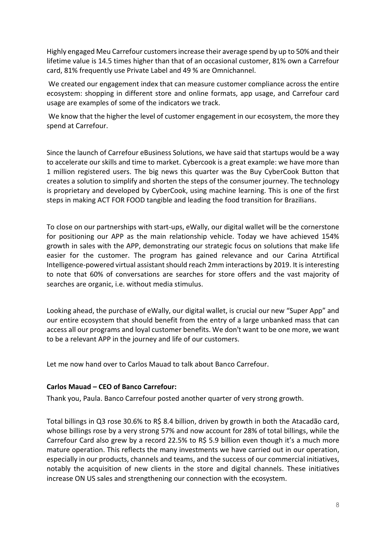Highly engaged Meu Carrefour customers increase their average spend by up to 50% and their lifetime value is 14.5 times higher than that of an occasional customer, 81% own a Carrefour card, 81% frequently use Private Label and 49 % are Omnichannel.

We created our engagement index that can measure customer compliance across the entire ecosystem: shopping in different store and online formats, app usage, and Carrefour card usage are examples of some of the indicators we track.

We know that the higher the level of customer engagement in our ecosystem, the more they spend at Carrefour.

Since the launch of Carrefour eBusiness Solutions, we have said that startups would be a way to accelerate our skills and time to market. Cybercook is a great example: we have more than 1 million registered users. The big news this quarter was the Buy CyberCook Button that creates a solution to simplify and shorten the steps of the consumer journey. The technology is proprietary and developed by CyberCook, using machine learning. This is one of the first steps in making ACT FOR FOOD tangible and leading the food transition for Brazilians.

To close on our partnerships with start-ups, eWally, our digital wallet will be the cornerstone for positioning our APP as the main relationship vehicle. Today we have achieved 154% growth in sales with the APP, demonstrating our strategic focus on solutions that make life easier for the customer. The program has gained relevance and our Carina Atrtifical Intelligence-powered virtual assistant should reach 2mm interactions by 2019. It is interesting to note that 60% of conversations are searches for store offers and the vast majority of searches are organic, i.e. without media stimulus.

Looking ahead, the purchase of eWally, our digital wallet, is crucial our new "Super App" and our entire ecosystem that should benefit from the entry of a large unbanked mass that can access all our programs and loyal customer benefits. We don't want to be one more, we want to be a relevant APP in the journey and life of our customers.

Let me now hand over to Carlos Mauad to talk about Banco Carrefour.

### **Carlos Mauad – CEO of Banco Carrefour:**

Thank you, Paula. Banco Carrefour posted another quarter of very strong growth.

Total billings in Q3 rose 30.6% to R\$ 8.4 billion, driven by growth in both the Atacadão card, whose billings rose by a very strong 57% and now account for 28% of total billings, while the Carrefour Card also grew by a record 22.5% to R\$ 5.9 billion even though it's a much more mature operation. This reflects the many investments we have carried out in our operation, especially in our products, channels and teams, and the success of our commercial initiatives, notably the acquisition of new clients in the store and digital channels. These initiatives increase ON US sales and strengthening our connection with the ecosystem.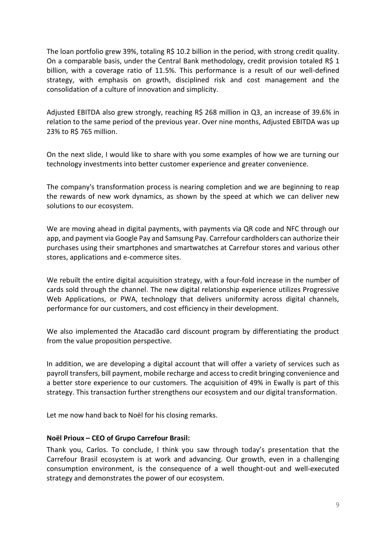The loan portfolio grew 39%, totaling R\$ 10.2 billion in the period, with strong credit quality. On a comparable basis, under the Central Bank methodology, credit provision totaled R\$ 1 billion, with a coverage ratio of 11.5%. This performance is a result of our well-defined strategy, with emphasis on growth, disciplined risk and cost management and the consolidation of a culture of innovation and simplicity.

Adjusted EBITDA also grew strongly, reaching R\$ 268 million in Q3, an increase of 39.6% in relation to the same period of the previous year. Over nine months, Adjusted EBITDA was up 23% to R\$ 765 million.

On the next slide, I would like to share with you some examples of how we are turning our technology investments into better customer experience and greater convenience.

The company's transformation process is nearing completion and we are beginning to reap the rewards of new work dynamics, as shown by the speed at which we can deliver new solutions to our ecosystem.

We are moving ahead in digital payments, with payments via QR code and NFC through our app, and payment via Google Pay and Samsung Pay. Carrefour cardholders can authorize their purchases using their smartphones and smartwatches at Carrefour stores and various other stores, applications and e-commerce sites.

We rebuilt the entire digital acquisition strategy, with a four-fold increase in the number of cards sold through the channel. The new digital relationship experience utilizes Progressive Web Applications, or PWA, technology that delivers uniformity across digital channels, performance for our customers, and cost efficiency in their development.

We also implemented the Atacadão card discount program by differentiating the product from the value proposition perspective.

In addition, we are developing a digital account that will offer a variety of services such as payroll transfers, bill payment, mobile recharge and access to credit bringing convenience and a better store experience to our customers. The acquisition of 49% in Ewally is part of this strategy. This transaction further strengthens our ecosystem and our digital transformation.

Let me now hand back to Noël for his closing remarks.

### **Noël Prioux – CEO of Grupo Carrefour Brasil:**

Thank you, Carlos. To conclude, I think you saw through today's presentation that the Carrefour Brasil ecosystem is at work and advancing. Our growth, even in a challenging consumption environment, is the consequence of a well thought-out and well-executed strategy and demonstrates the power of our ecosystem.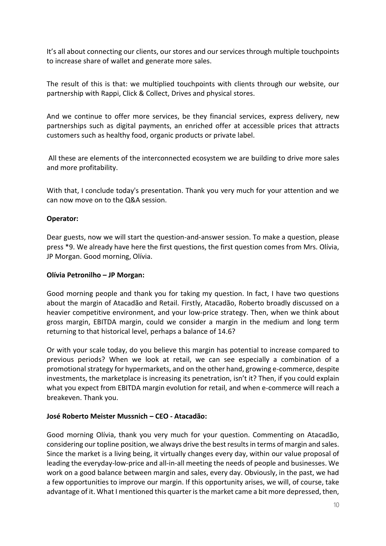It's all about connecting our clients, our stores and our services through multiple touchpoints to increase share of wallet and generate more sales.

The result of this is that: we multiplied touchpoints with clients through our website, our partnership with Rappi, Click & Collect, Drives and physical stores.

And we continue to offer more services, be they financial services, express delivery, new partnerships such as digital payments, an enriched offer at accessible prices that attracts customers such as healthy food, organic products or private label.

All these are elements of the interconnected ecosystem we are building to drive more sales and more profitability.

With that, I conclude today's presentation. Thank you very much for your attention and we can now move on to the Q&A session.

### **Operator:**

Dear guests, now we will start the question-and-answer session. To make a question, please press \*9. We already have here the first questions, the first question comes from Mrs. Olívia, JP Morgan. Good morning, Olívia.

### **Olívia Petronilho – JP Morgan:**

Good morning people and thank you for taking my question. In fact, I have two questions about the margin of Atacadão and Retail. Firstly, Atacadão, Roberto broadly discussed on a heavier competitive environment, and your low-price strategy. Then, when we think about gross margin, EBITDA margin, could we consider a margin in the medium and long term returning to that historical level, perhaps a balance of 14.6?

Or with your scale today, do you believe this margin has potential to increase compared to previous periods? When we look at retail, we can see especially a combination of a promotional strategy for hypermarkets, and on the other hand, growing e-commerce, despite investments, the marketplace is increasing its penetration, isn't it? Then, if you could explain what you expect from EBITDA margin evolution for retail, and when e-commerce will reach a breakeven. Thank you.

# **José Roberto Meister Mussnich – CEO - Atacadão:**

Good morning Olívia, thank you very much for your question. Commenting on Atacadão, considering our topline position, we always drive the best results in terms of margin and sales. Since the market is a living being, it virtually changes every day, within our value proposal of leading the everyday-low-price and all-in-all meeting the needs of people and businesses. We work on a good balance between margin and sales, every day. Obviously, in the past, we had a few opportunities to improve our margin. If this opportunity arises, we will, of course, take advantage of it. What I mentioned this quarter is the market came a bit more depressed, then,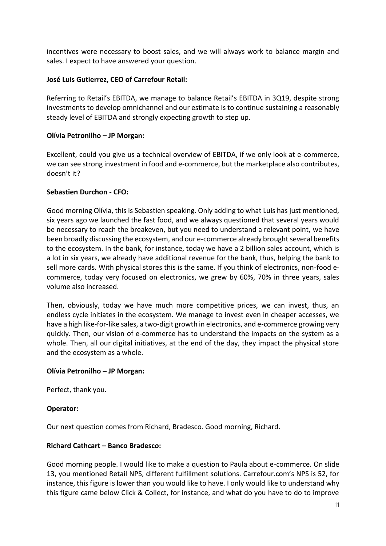incentives were necessary to boost sales, and we will always work to balance margin and sales. I expect to have answered your question.

## **José Luis Gutierrez, CEO of Carrefour Retail:**

Referring to Retail's EBITDA, we manage to balance Retail's EBITDA in 3Q19, despite strong investments to develop omnichannel and our estimate is to continue sustaining a reasonably steady level of EBITDA and strongly expecting growth to step up.

### **Olívia Petronilho – JP Morgan:**

Excellent, could you give us a technical overview of EBITDA, if we only look at e-commerce, we can see strong investment in food and e-commerce, but the marketplace also contributes, doesn't it?

### **Sebastien Durchon - CFO:**

Good morning Olívia, this is Sebastien speaking. Only adding to what Luis has just mentioned, six years ago we launched the fast food, and we always questioned that several years would be necessary to reach the breakeven, but you need to understand a relevant point, we have been broadly discussing the ecosystem, and our e-commerce already brought several benefits to the ecosystem. In the bank, for instance, today we have a 2 billion sales account, which is a lot in six years, we already have additional revenue for the bank, thus, helping the bank to sell more cards. With physical stores this is the same. If you think of electronics, non-food ecommerce, today very focused on electronics, we grew by 60%, 70% in three years, sales volume also increased.

Then, obviously, today we have much more competitive prices, we can invest, thus, an endless cycle initiates in the ecosystem. We manage to invest even in cheaper accesses, we have a high like-for-like sales, a two-digit growth in electronics, and e-commerce growing very quickly. Then, our vision of e-commerce has to understand the impacts on the system as a whole. Then, all our digital initiatives, at the end of the day, they impact the physical store and the ecosystem as a whole.

### **Olívia Petronilho – JP Morgan:**

Perfect, thank you.

### **Operator:**

Our next question comes from Richard, Bradesco. Good morning, Richard.

### **Richard Cathcart – Banco Bradesco:**

Good morning people. I would like to make a question to Paula about e-commerce. On slide 13, you mentioned Retail NPS, different fulfillment solutions. Carrefour.com's NPS is 52, for instance, this figure is lower than you would like to have. I only would like to understand why this figure came below Click & Collect, for instance, and what do you have to do to improve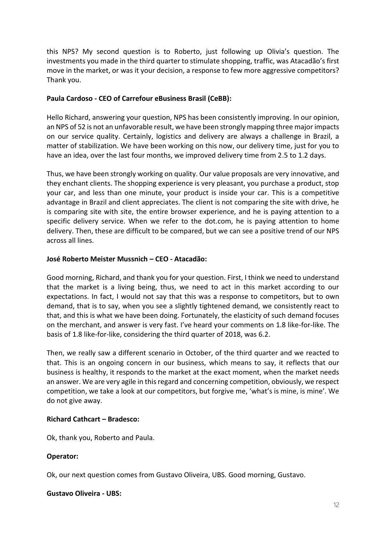this NPS? My second question is to Roberto, just following up Olivia's question. The investments you made in the third quarter to stimulate shopping, traffic, was Atacadão's first move in the market, or was it your decision, a response to few more aggressive competitors? Thank you.

## **Paula Cardoso - CEO of Carrefour eBusiness Brasil (CeBB):**

Hello Richard, answering your question, NPS has been consistently improving. In our opinion, an NPS of 52 is not an unfavorable result, we have been strongly mapping three major impacts on our service quality. Certainly, logistics and delivery are always a challenge in Brazil, a matter of stabilization. We have been working on this now, our delivery time, just for you to have an idea, over the last four months, we improved delivery time from 2.5 to 1.2 days.

Thus, we have been strongly working on quality. Our value proposals are very innovative, and they enchant clients. The shopping experience is very pleasant, you purchase a product, stop your car, and less than one minute, your product is inside your car. This is a competitive advantage in Brazil and client appreciates. The client is not comparing the site with drive, he is comparing site with site, the entire browser experience, and he is paying attention to a specific delivery service. When we refer to the dot.com, he is paying attention to home delivery. Then, these are difficult to be compared, but we can see a positive trend of our NPS across all lines.

### **José Roberto Meister Mussnich – CEO - Atacadão:**

Good morning, Richard, and thank you for your question. First, I think we need to understand that the market is a living being, thus, we need to act in this market according to our expectations. In fact, I would not say that this was a response to competitors, but to own demand, that is to say, when you see a slightly tightened demand, we consistently react to that, and this is what we have been doing. Fortunately, the elasticity of such demand focuses on the merchant, and answer is very fast. I've heard your comments on 1.8 like-for-like. The basis of 1.8 like-for-like, considering the third quarter of 2018, was 6.2.

Then, we really saw a different scenario in October, of the third quarter and we reacted to that. This is an ongoing concern in our business, which means to say, it reflects that our business is healthy, it responds to the market at the exact moment, when the market needs an answer. We are very agile in this regard and concerning competition, obviously, we respect competition, we take a look at our competitors, but forgive me, 'what's is mine, is mine'. We do not give away.

# **Richard Cathcart – Bradesco:**

Ok, thank you, Roberto and Paula.

# **Operator:**

Ok, our next question comes from Gustavo Oliveira, UBS. Good morning, Gustavo.

### **Gustavo Oliveira - UBS:**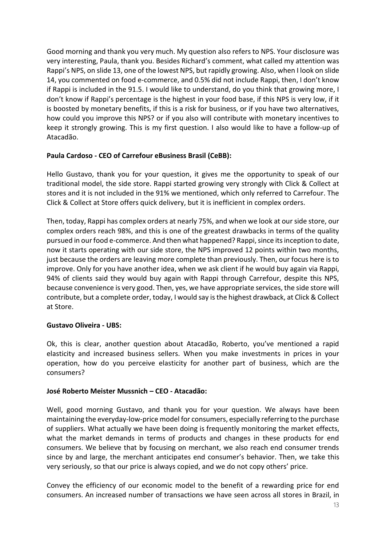Good morning and thank you very much. My question also refers to NPS. Your disclosure was very interesting, Paula, thank you. Besides Richard's comment, what called my attention was Rappi's NPS, on slide 13, one of the lowest NPS, but rapidly growing. Also, when I look on slide 14, you commented on food e-commerce, and 0.5% did not include Rappi, then, I don't know if Rappi is included in the 91.5. I would like to understand, do you think that growing more, I don't know if Rappi's percentage is the highest in your food base, if this NPS is very low, if it is boosted by monetary benefits, if this is a risk for business, or if you have two alternatives, how could you improve this NPS? or if you also will contribute with monetary incentives to keep it strongly growing. This is my first question. I also would like to have a follow-up of Atacadão.

# **Paula Cardoso - CEO of Carrefour eBusiness Brasil (CeBB):**

Hello Gustavo, thank you for your question, it gives me the opportunity to speak of our traditional model, the side store. Rappi started growing very strongly with Click & Collect at stores and it is not included in the 91% we mentioned, which only referred to Carrefour. The Click & Collect at Store offers quick delivery, but it is inefficient in complex orders.

Then, today, Rappi has complex orders at nearly 75%, and when we look at our side store, our complex orders reach 98%, and this is one of the greatest drawbacks in terms of the quality pursued in our food e-commerce. And then what happened? Rappi, since its inception to date, now it starts operating with our side store, the NPS improved 12 points within two months, just because the orders are leaving more complete than previously. Then, our focus here is to improve. Only for you have another idea, when we ask client if he would buy again via Rappi, 94% of clients said they would buy again with Rappi through Carrefour, despite this NPS, because convenience is very good. Then, yes, we have appropriate services, the side store will contribute, but a complete order, today, I would say is the highest drawback, at Click & Collect at Store.

### **Gustavo Oliveira - UBS:**

Ok, this is clear, another question about Atacadão, Roberto, you've mentioned a rapid elasticity and increased business sellers. When you make investments in prices in your operation, how do you perceive elasticity for another part of business, which are the consumers?

# **José Roberto Meister Mussnich – CEO - Atacadão:**

Well, good morning Gustavo, and thank you for your question. We always have been maintaining the everyday-low-price model for consumers, especially referring to the purchase of suppliers. What actually we have been doing is frequently monitoring the market effects, what the market demands in terms of products and changes in these products for end consumers. We believe that by focusing on merchant, we also reach end consumer trends since by and large, the merchant anticipates end consumer's behavior. Then, we take this very seriously, so that our price is always copied, and we do not copy others' price.

Convey the efficiency of our economic model to the benefit of a rewarding price for end consumers. An increased number of transactions we have seen across all stores in Brazil, in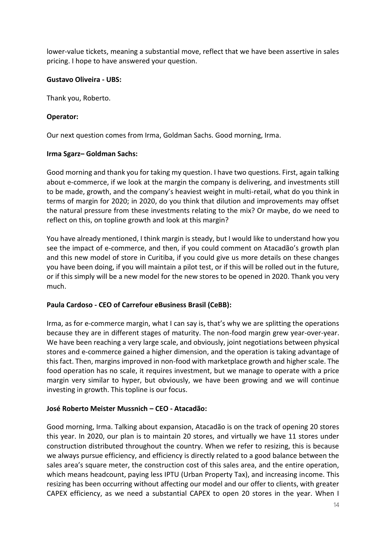lower-value tickets, meaning a substantial move, reflect that we have been assertive in sales pricing. I hope to have answered your question.

## **Gustavo Oliveira - UBS:**

Thank you, Roberto.

## **Operator:**

Our next question comes from Irma, Goldman Sachs. Good morning, Irma.

### **Irma Sgarz– Goldman Sachs:**

Good morning and thank you for taking my question. I have two questions. First, again talking about e-commerce, if we look at the margin the company is delivering, and investments still to be made, growth, and the company's heaviest weight in multi-retail, what do you think in terms of margin for 2020; in 2020, do you think that dilution and improvements may offset the natural pressure from these investments relating to the mix? Or maybe, do we need to reflect on this, on topline growth and look at this margin?

You have already mentioned, I think margin is steady, but I would like to understand how you see the impact of e-commerce, and then, if you could comment on Atacadão's growth plan and this new model of store in Curitiba, if you could give us more details on these changes you have been doing, if you will maintain a pilot test, or if this will be rolled out in the future, or if this simply will be a new model for the new stores to be opened in 2020. Thank you very much.

# **Paula Cardoso - CEO of Carrefour eBusiness Brasil (CeBB):**

Irma, as for e-commerce margin, what I can say is, that's why we are splitting the operations because they are in different stages of maturity. The non-food margin grew year-over-year. We have been reaching a very large scale, and obviously, joint negotiations between physical stores and e-commerce gained a higher dimension, and the operation is taking advantage of this fact. Then, margins improved in non-food with marketplace growth and higher scale. The food operation has no scale, it requires investment, but we manage to operate with a price margin very similar to hyper, but obviously, we have been growing and we will continue investing in growth. This topline is our focus.

# **José Roberto Meister Mussnich – CEO - Atacadão:**

Good morning, Irma. Talking about expansion, Atacadão is on the track of opening 20 stores this year. In 2020, our plan is to maintain 20 stores, and virtually we have 11 stores under construction distributed throughout the country. When we refer to resizing, this is because we always pursue efficiency, and efficiency is directly related to a good balance between the sales area's square meter, the construction cost of this sales area, and the entire operation, which means headcount, paying less IPTU (Urban Property Tax), and increasing income. This resizing has been occurring without affecting our model and our offer to clients, with greater CAPEX efficiency, as we need a substantial CAPEX to open 20 stores in the year. When I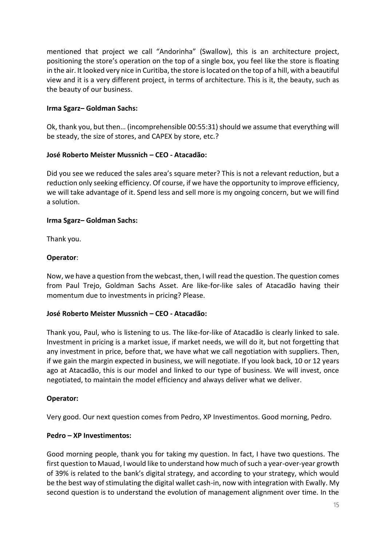mentioned that project we call "Andorinha" (Swallow), this is an architecture project, positioning the store's operation on the top of a single box, you feel like the store is floating in the air. It looked very nice in Curitiba, the store is located on the top of a hill, with a beautiful view and it is a very different project, in terms of architecture. This is it, the beauty, such as the beauty of our business.

## **Irma Sgarz– Goldman Sachs:**

Ok, thank you, but then… (incomprehensible 00:55:31) should we assume that everything will be steady, the size of stores, and CAPEX by store, etc.?

### **José Roberto Meister Mussnich – CEO - Atacadão:**

Did you see we reduced the sales area's square meter? This is not a relevant reduction, but a reduction only seeking efficiency. Of course, if we have the opportunity to improve efficiency, we will take advantage of it. Spend less and sell more is my ongoing concern, but we will find a solution.

### **Irma Sgarz– Goldman Sachs:**

Thank you.

### **Operator**:

Now, we have a question from the webcast, then, I will read the question. The question comes from Paul Trejo, Goldman Sachs Asset. Are like-for-like sales of Atacadão having their momentum due to investments in pricing? Please.

### **José Roberto Meister Mussnich – CEO - Atacadão:**

Thank you, Paul, who is listening to us. The like-for-like of Atacadão is clearly linked to sale. Investment in pricing is a market issue, if market needs, we will do it, but not forgetting that any investment in price, before that, we have what we call negotiation with suppliers. Then, if we gain the margin expected in business, we will negotiate. If you look back, 10 or 12 years ago at Atacadão, this is our model and linked to our type of business. We will invest, once negotiated, to maintain the model efficiency and always deliver what we deliver.

### **Operator:**

Very good. Our next question comes from Pedro, XP Investimentos. Good morning, Pedro.

### **Pedro – XP Investimentos:**

Good morning people, thank you for taking my question. In fact, I have two questions. The first question to Mauad, I would like to understand how much of such a year-over-year growth of 39% is related to the bank's digital strategy, and according to your strategy, which would be the best way of stimulating the digital wallet cash-in, now with integration with Ewally. My second question is to understand the evolution of management alignment over time. In the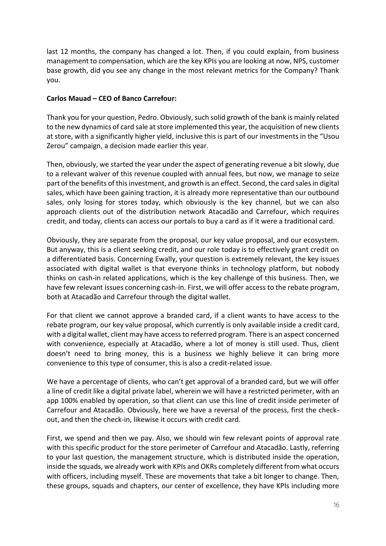last 12 months, the company has changed a lot. Then, if you could explain, from business management to compensation, which are the key KPIs you are looking at now, NPS, customer base growth, did you see any change in the most relevant metrics for the Company? Thank you.

# **Carlos Mauad – CEO of Banco Carrefour:**

Thank you for your question, Pedro. Obviously, such solid growth of the bank is mainly related to the new dynamics of card sale at store implemented this year, the acquisition of new clients at store, with a significantly higher yield, inclusive this is part of our investments in the "Usou Zerou" campaign, a decision made earlier this year.

Then, obviously, we started the year under the aspect of generating revenue a bit slowly, due to a relevant waiver of this revenue coupled with annual fees, but now, we manage to seize part of the benefits of this investment, and growth is an effect. Second, the card sales in digital sales, which have been gaining traction, it is already more representative than our outbound sales, only losing for stores today, which obviously is the key channel, but we can also approach clients out of the distribution network Atacadão and Carrefour, which requires credit, and today, clients can access our portals to buy a card as if it were a traditional card.

Obviously, they are separate from the proposal, our key value proposal, and our ecosystem. But anyway, this is a client seeking credit, and our role today is to effectively grant credit on a differentiated basis. Concerning Ewally, your question is extremely relevant, the key issues associated with digital wallet is that everyone thinks in technology platform, but nobody thinks on cash-in related applications, which is the key challenge of this business. Then, we have few relevant issues concerning cash-in. First, we will offer access to the rebate program, both at Atacadão and Carrefour through the digital wallet.

For that client we cannot approve a branded card, if a client wants to have access to the rebate program, our key value proposal, which currently is only available inside a credit card, with a digital wallet, client may have access to referred program. There is an aspect concerned with convenience, especially at Atacadão, where a lot of money is still used. Thus, client doesn't need to bring money, this is a business we highly believe it can bring more convenience to this type of consumer, this is also a credit-related issue.

We have a percentage of clients, who can't get approval of a branded card, but we will offer a line of credit like a digital private label, wherein we will have a restricted perimeter, with an app 100% enabled by operation, so that client can use this line of credit inside perimeter of Carrefour and Atacadão. Obviously, here we have a reversal of the process, first the checkout, and then the check-in, likewise it occurs with credit card.

First, we spend and then we pay. Also, we should win few relevant points of approval rate with this specific product for the store perimeter of Carrefour and Atacadão. Lastly, referring to your last question, the management structure, which is distributed inside the operation, inside the squads, we already work with KPIs and OKRs completely different from what occurs with officers, including myself. These are movements that take a bit longer to change. Then, these groups, squads and chapters, our center of excellence, they have KPIs including more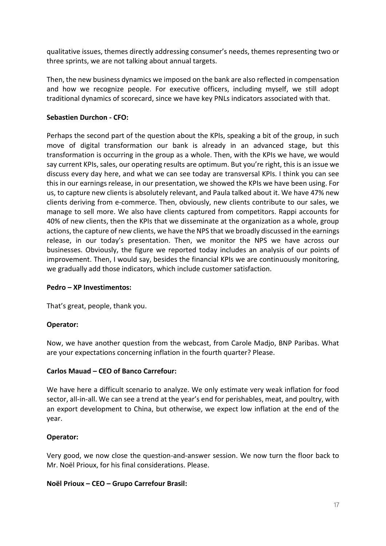qualitative issues, themes directly addressing consumer's needs, themes representing two or three sprints, we are not talking about annual targets.

Then, the new business dynamics we imposed on the bank are also reflected in compensation and how we recognize people. For executive officers, including myself, we still adopt traditional dynamics of scorecard, since we have key PNLs indicators associated with that.

# **Sebastien Durchon - CFO:**

Perhaps the second part of the question about the KPIs, speaking a bit of the group, in such move of digital transformation our bank is already in an advanced stage, but this transformation is occurring in the group as a whole. Then, with the KPIs we have, we would say current KPIs, sales, our operating results are optimum. But you're right, this is an issue we discuss every day here, and what we can see today are transversal KPIs. I think you can see this in our earnings release, in our presentation, we showed the KPIs we have been using. For us, to capture new clients is absolutely relevant, and Paula talked about it. We have 47% new clients deriving from e-commerce. Then, obviously, new clients contribute to our sales, we manage to sell more. We also have clients captured from competitors. Rappi accounts for 40% of new clients, then the KPIs that we disseminate at the organization as a whole, group actions, the capture of new clients, we have the NPS that we broadly discussed in the earnings release, in our today's presentation. Then, we monitor the NPS we have across our businesses. Obviously, the figure we reported today includes an analysis of our points of improvement. Then, I would say, besides the financial KPIs we are continuously monitoring, we gradually add those indicators, which include customer satisfaction.

### **Pedro – XP Investimentos:**

That's great, people, thank you.

# **Operator:**

Now, we have another question from the webcast, from Carole Madjo, BNP Paribas. What are your expectations concerning inflation in the fourth quarter? Please.

# **Carlos Mauad – CEO of Banco Carrefour:**

We have here a difficult scenario to analyze. We only estimate very weak inflation for food sector, all-in-all. We can see a trend at the year's end for perishables, meat, and poultry, with an export development to China, but otherwise, we expect low inflation at the end of the year.

# **Operator:**

Very good, we now close the question-and-answer session. We now turn the floor back to Mr. Noël Prioux, for his final considerations. Please.

### **Noël Prioux – CEO – Grupo Carrefour Brasil:**